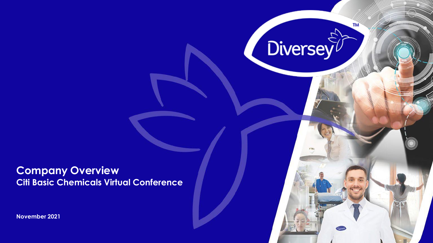**Company Overview Citi Basic Chemicals Virtual Conference** TM

**Diversey** 

**November 2021**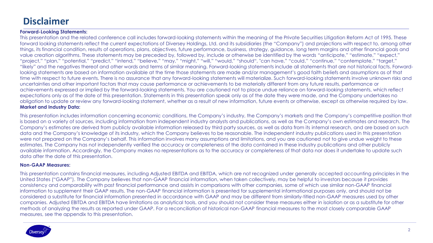## **Disclaimer**

### **Forward-Looking Statements:**

This presentation and the related conference call includes forward-looking statements within the meaning of the Private Securities Litigation Reform Act of 1995. These forward looking statements reflect the current expectations of Diversey Holdings, Ltd. and its subsidiaries (the "Company") and projections with respect to, among other things, its financial condition, results of operations, plans, objectives, future performance, business, strategy, guidance, long term margins and other financial goals and value creation algorithms. These statements may be preceded by, followed by, include or otherwise be identified by the words "anticipate," "estimate," "expect," "project," "plan," "potential," "predict," "intend," "believe," "may," "might," "will," "would," "should", "can have," "could," "continue," "contemplate," "target," "likely" and the negatives thereof and other words and terms of similar meaning. Forward-looking statements include all statements that are not historical facts. Forwardlooking statements are based on information available at the time those statements are made and/or management's good faith beliefs and assumptions as of that time with respect to future events. There is no assurance that any forward-looking statements will materialize. Such forward-looking statements involve unknown risks and uncertainties and other important factors that may cause performance or achievements to be materially different from any future results, performance or achievements expressed or implied by the forward-looking statements. You are cautioned not to place undue reliance on forward-looking statements, which reflect expectations only as of the date of this presentation. Statements in this presentation speak only as of the date they were made, and the Company undertakes no obligation to update or review any forward-looking statement, whether as a result of new information, future events or otherwise, except as otherwise required by law. **Market and Industry Data:**

This presentation includes information concerning economic conditions, the Company's industry, the Company's markets and the Company's competitive position that is based on a variety of sources, including information from independent industry analysts and publications, as well as the Company's own estimates and research. The Company's estimates are derived from publicly available information released by third party sources, as well as data from its internal research, and are based on such data and the Company's knowledge of its industry, which the Company believes to be reasonable. The independent industry publications used in this presentation were not prepared on the Company's behalf. This information involves many assumptions and limitations, and you are cautioned not to give undue weight to these estimates. The Company has not independently verified the accuracy or completeness of the data contained in these industry publications and other publicly available information. Accordingly, the Company makes no representations as to the accuracy or completeness of that data nor does it undertake to update such data after the date of this presentation.

### **Non-GAAP Measures:**

This presentation contains financial measures, including Adjusted EBITDA and EBITDA, which are not recognized under generally accepted accounting principles in the United States ("GAAP"). The Company believes that non-GAAP financial information, when taken collectively, may be helpful to investors because it provides consistency and comparability with past financial performance and assists in comparisons with other companies, some of which use similar non-GAAP financial information to supplement their GAAP results. The non-GAAP financial information is presented for supplemental informational purposes only, and should not be considered a substitute for financial information presented in accordance with GAAP and may be different from similarly-titled non-GAAP measures used by other companies. Adjusted EBITDA and EBITDA have limitations as analytical tools, and you should not consider these measures either in isolation or as a substitute for other methods of analyzing the results as reported under GAAP. For a reconciliation of historical non-GAAP financial measures to the most closely comparable GAAP measures, see the appendix to this presentation.

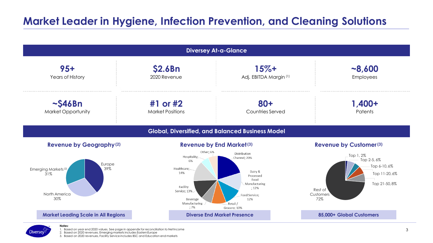# **Market Leader in Hygiene, Infection Prevention, and Cleaning Solutions**





**Notes:**

1. Based on year end 2020 values. See page in appendix for reconciliation to NetIncome 2. Based on 2020 revenues. Emerging markets includes EasternEurope

3. Based on 2020 revenues, Facility Service includes BSC and Education end markets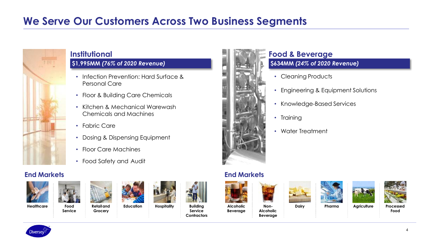# **We Serve Our Customers Across Two Business Segments**



## **Institutional**

## **\$1,995MM** *(76% of 2020 Revenue)*

- Infection Prevention: Hard Surface & Personal Care
- Floor & Building Care Chemicals
- Kitchen & Mechanical Warewash Chemicals and Machines
- Fabric Care
- Dosing & Dispensing Equipment
- Floor Care Machines
- Food Safety and Audit

## **End Markets End Markets**





**Service**









**Education Hospitality Building Service Contractors**



# **Food & Beverage**

## **\$634MM** *(24% of 2020 Revenue)*

- Cleaning Products
- Engineering & Equipment Solutions
- Knowledge-Based Services
- Training
- Water Treatment

**Beverage**





**Alcoholic Beverage**

**Non-**











4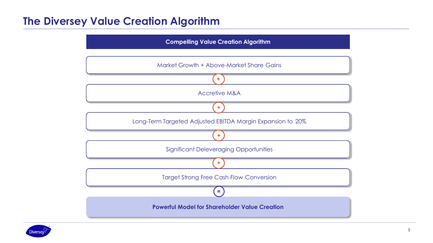# **The Diversey Value Creation Algorithm**



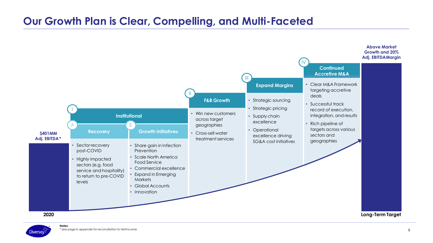# **Our Growth Plan is Clear, Compelling, and Multi-Faceted**



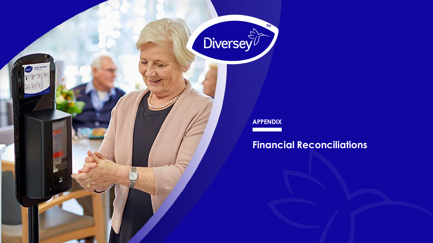

**ASK MAR** 

## **APPENDIX**

# **Financial Reconciliations**